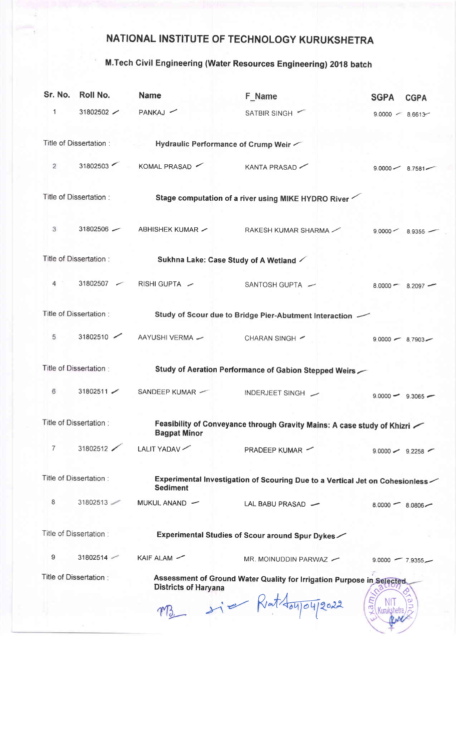## NATIONAL INSTITUTE OF TECHNOLOGY KURUKSHETRA

## M.Tech Civil Engineering (Water Resources Engineering) 2018 batch

| Sr. No.                                                                                                                        | Roll No.                | <b>Name</b>                                                                                    | F Name                 | <b>SGPA</b><br><b>CGPA</b> |
|--------------------------------------------------------------------------------------------------------------------------------|-------------------------|------------------------------------------------------------------------------------------------|------------------------|----------------------------|
| 1                                                                                                                              | 31802502 $\angle$       | PANKAJ -                                                                                       | SATBIR SINGH           | $9.0000 - 8.6613$          |
|                                                                                                                                | Title of Dissertation : | Hydraulic Performance of Crump Weir                                                            |                        |                            |
| 2                                                                                                                              |                         | 31802503 KOMAL PRASAD                                                                          | KANTA PRASAD           | $9.0000 - 8.7581$          |
| Title of Dissertation:                                                                                                         |                         | Stage computation of a river using MIKE HYDRO River                                            |                        |                            |
| 3                                                                                                                              | $31802506$ $-$          | ABHISHEK KUMAR $\sim$                                                                          | RAKESH KUMAR SHARMA    | $9.0000 - 8.9355$          |
| Title of Dissertation:                                                                                                         |                         | Sukhna Lake: Case Study of A Wetland                                                           |                        |                            |
| $4^{\circ}$                                                                                                                    | $31802507$ $\sim$       | RISHI GUPTA ~                                                                                  | SANTOSH GUPTA $-$      | $8.0000 - 8.2097 -$        |
| Title of Dissertation :<br>Study of Scour due to Bridge Pier-Abutment Interaction $\sim$                                       |                         |                                                                                                |                        |                            |
| 5                                                                                                                              | $31802510$ $\sim$       | AAYUSHI VERMA -                                                                                | CHARAN SINGH -         | $9.0000 - 8.7903 -$        |
| Title of Dissertation:<br>Study of Aeration Performance of Gabion Stepped Weirs                                                |                         |                                                                                                |                        |                            |
| 6                                                                                                                              | $31802511$ $\angle$     | SANDEEP KUMAR                                                                                  | INDERJEET SINGH        | $9.0000 -$<br>$9.3065$ $-$ |
| Title of Dissertation :                                                                                                        |                         | Feasibility of Conveyance through Gravity Mains: A case study of Khizri<br><b>Bagpat Minor</b> |                        |                            |
| $\overline{7}$                                                                                                                 | 31802512                | LALIT YADAV                                                                                    | PRADEEP KUMAR -        | $9.0000 - 9.2258$          |
| Title of Dissertation :<br>Experimental Investigation of Scouring Due to a Vertical Jet on Cohesionless<br><b>Sediment</b>     |                         |                                                                                                |                        |                            |
| 8                                                                                                                              | 31802513                | MUKUL ANAND -                                                                                  | LAL BABU PRASAD -      | $8.0000 - 8.0806 -$        |
| Title of Dissertation:                                                                                                         |                         | Experimental Studies of Scour around Spur Dykes                                                |                        |                            |
| 9                                                                                                                              | 31802514                | KAIF ALAM -                                                                                    | MR. MOINUDDIN PARWAZ - | $9.0000 - 7.9355$          |
| Title of Dissertation:<br>Assessment of Ground Water Quality for Irrigation Purpose in Selected<br><b>Districts of Haryana</b> |                         |                                                                                                |                        |                            |
|                                                                                                                                |                         |                                                                                                | sier Rathoujoujzous    | ಗ                          |